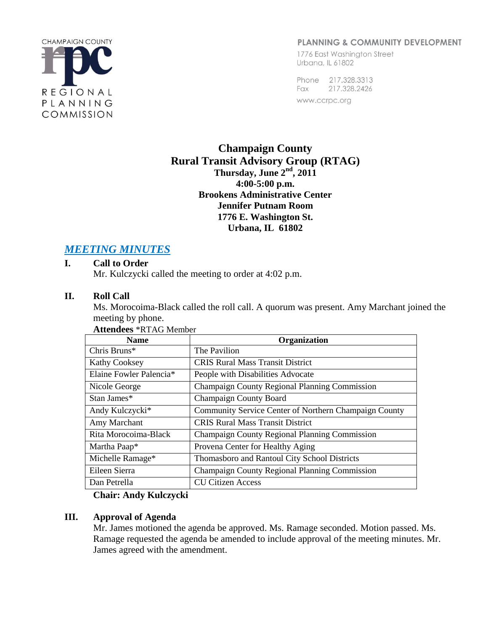

## PLANNING & COMMUNITY DEVELOPMENT

1776 East Washington Street Urbana, IL 61802

Phone 217.328.3313 Fax 217.328.2426 www.ccrpc.org

## **Champaign County Rural Transit Advisory Group (RTAG) Thursday, June 2nd , 2011 4:00-5:00 p.m. Brookens Administrative Center Jennifer Putnam Room 1776 E. Washington St. Urbana, IL 61802**

# *MEETING MINUTES*

## **I. Call to Order**

Mr. Kulczycki called the meeting to order at 4:02 p.m.

## **II. Roll Call**

Ms. Morocoima-Black called the roll call. A quorum was present. Amy Marchant joined the meeting by phone.

| <b>Name</b>             | Organization                                          |
|-------------------------|-------------------------------------------------------|
| Chris Bruns*            | The Pavilion                                          |
| <b>Kathy Cooksey</b>    | <b>CRIS Rural Mass Transit District</b>               |
| Elaine Fowler Palencia* | People with Disabilities Advocate                     |
| Nicole George           | Champaign County Regional Planning Commission         |
| Stan James*             | <b>Champaign County Board</b>                         |
| Andy Kulczycki*         | Community Service Center of Northern Champaign County |
| Amy Marchant            | <b>CRIS Rural Mass Transit District</b>               |
| Rita Morocoima-Black    | <b>Champaign County Regional Planning Commission</b>  |
| Martha Paap*            | Provena Center for Healthy Aging                      |
| Michelle Ramage*        | Thomasboro and Rantoul City School Districts          |
| Eileen Sierra           | Champaign County Regional Planning Commission         |
| Dan Petrella            | <b>CU Citizen Access</b>                              |

## **Attendees** \*RTAG Member

**Chair: Andy Kulczycki**

## **III. Approval of Agenda**

Mr. James motioned the agenda be approved. Ms. Ramage seconded. Motion passed. Ms. Ramage requested the agenda be amended to include approval of the meeting minutes. Mr. James agreed with the amendment.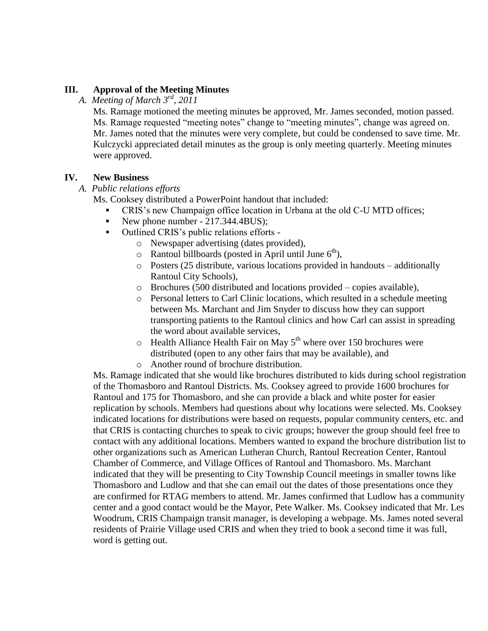## **III. Approval of the Meeting Minutes**

*A. Meeting of March 3rd, 2011*

Ms. Ramage motioned the meeting minutes be approved, Mr. James seconded, motion passed. Ms. Ramage requested "meeting notes" change to "meeting minutes", change was agreed on. Mr. James noted that the minutes were very complete, but could be condensed to save time. Mr. Kulczycki appreciated detail minutes as the group is only meeting quarterly. Meeting minutes were approved.

#### **IV. New Business**

#### *A. Public relations efforts*

Ms. Cooksey distributed a PowerPoint handout that included:

- CRIS's new Champaign office location in Urbana at the old C-U MTD offices;
- New phone number  $217.344.4 \text{BUS}$ ;
- Outlined CRIS's public relations efforts
	- o Newspaper advertising (dates provided),
	- $\circ$  Rantoul billboards (posted in April until June  $6<sup>th</sup>$ ),
	- o Posters (25 distribute, various locations provided in handouts additionally Rantoul City Schools),
	- o Brochures (500 distributed and locations provided copies available),
	- o Personal letters to Carl Clinic locations, which resulted in a schedule meeting between Ms. Marchant and Jim Snyder to discuss how they can support transporting patients to the Rantoul clinics and how Carl can assist in spreading the word about available services,
	- $\circ$  Health Alliance Health Fair on May 5<sup>th</sup> where over 150 brochures were distributed (open to any other fairs that may be available), and
	- o Another round of brochure distribution.

Ms. Ramage indicated that she would like brochures distributed to kids during school registration of the Thomasboro and Rantoul Districts. Ms. Cooksey agreed to provide 1600 brochures for Rantoul and 175 for Thomasboro, and she can provide a black and white poster for easier replication by schools. Members had questions about why locations were selected. Ms. Cooksey indicated locations for distributions were based on requests, popular community centers, etc. and that CRIS is contacting churches to speak to civic groups; however the group should feel free to contact with any additional locations. Members wanted to expand the brochure distribution list to other organizations such as American Lutheran Church, Rantoul Recreation Center, Rantoul Chamber of Commerce, and Village Offices of Rantoul and Thomasboro. Ms. Marchant indicated that they will be presenting to City Township Council meetings in smaller towns like Thomasboro and Ludlow and that she can email out the dates of those presentations once they are confirmed for RTAG members to attend. Mr. James confirmed that Ludlow has a community center and a good contact would be the Mayor, Pete Walker. Ms. Cooksey indicated that Mr. Les Woodrum, CRIS Champaign transit manager, is developing a webpage. Ms. James noted several residents of Prairie Village used CRIS and when they tried to book a second time it was full, word is getting out.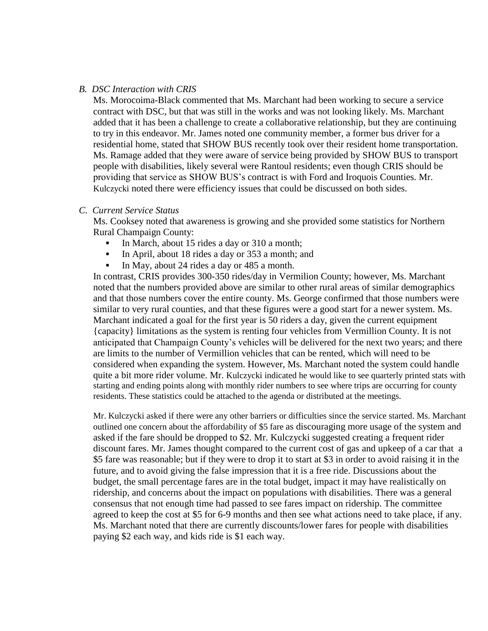#### *B. DSC Interaction with CRIS*

Ms. Morocoima-Black commented that Ms. Marchant had been working to secure a service contract with DSC, but that was still in the works and was not looking likely. Ms. Marchant added that it has been a challenge to create a collaborative relationship, but they are continuing to try in this endeavor. Mr. James noted one community member, a former bus driver for a residential home, stated that SHOW BUS recently took over their resident home transportation. Ms. Ramage added that they were aware of service being provided by SHOW BUS to transport people with disabilities, likely several were Rantoul residents; even though CRIS should be providing that service as SHOW BUS's contract is with Ford and Iroquois Counties. Mr. Kulczycki noted there were efficiency issues that could be discussed on both sides.

#### *C. Current Service Status*

Ms. Cooksey noted that awareness is growing and she provided some statistics for Northern Rural Champaign County:

- In March, about 15 rides a day or 310 a month;
- In April, about 18 rides a day or 353 a month; and
- In May, about 24 rides a day or 485 a month.

In contrast, CRIS provides 300-350 rides/day in Vermilion County; however, Ms. Marchant noted that the numbers provided above are similar to other rural areas of similar demographics and that those numbers cover the entire county. Ms. George confirmed that those numbers were similar to very rural counties, and that these figures were a good start for a newer system. Ms. Marchant indicated a goal for the first year is 50 riders a day, given the current equipment {capacity} limitations as the system is renting four vehicles from Vermillion County. It is not anticipated that Champaign County's vehicles will be delivered for the next two years; and there are limits to the number of Vermillion vehicles that can be rented, which will need to be considered when expanding the system. However, Ms. Marchant noted the system could handle quite a bit more rider volume. Mr. Kulczycki indicated he would like to see quarterly printed stats with starting and ending points along with monthly rider numbers to see where trips are occurring for county residents. These statistics could be attached to the agenda or distributed at the meetings.

Mr. Kulczycki asked if there were any other barriers or difficulties since the service started. Ms. Marchant outlined one concern about the affordability of \$5 fare as discouraging more usage of the system and asked if the fare should be dropped to \$2. Mr. Kulczycki suggested creating a frequent rider discount fares. Mr. James thought compared to the current cost of gas and upkeep of a car that a \$5 fare was reasonable; but if they were to drop it to start at \$3 in order to avoid raising it in the future, and to avoid giving the false impression that it is a free ride. Discussions about the budget, the small percentage fares are in the total budget, impact it may have realistically on ridership, and concerns about the impact on populations with disabilities. There was a general consensus that not enough time had passed to see fares impact on ridership. The committee agreed to keep the cost at \$5 for 6-9 months and then see what actions need to take place, if any. Ms. Marchant noted that there are currently discounts/lower fares for people with disabilities paying \$2 each way, and kids ride is \$1 each way.